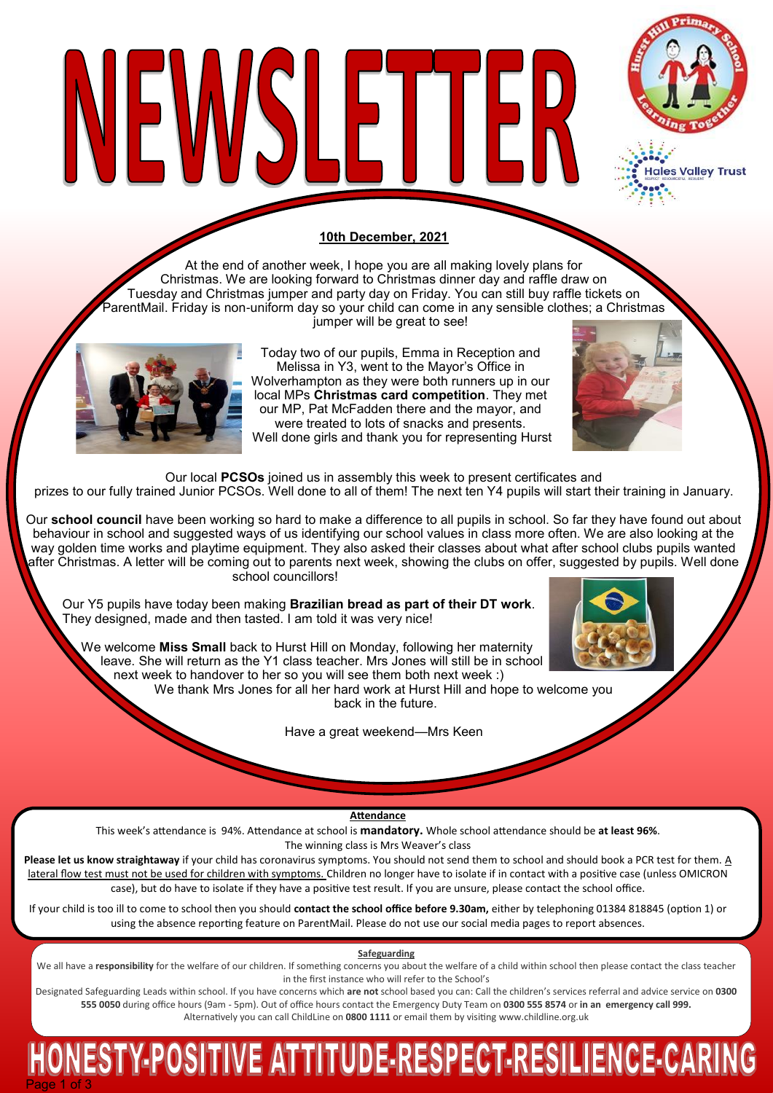

ales Valley Trust

#### **10th December, 2021**

VEWSLETTE

At the end of another week, I hope you are all making lovely plans for Christmas. We are looking forward to Christmas dinner day and raffle draw on Tuesday and Christmas jumper and party day on Friday. You can still buy raffle tickets on ParentMail. Friday is non-uniform day so your child can come in any sensible clothes; a Christmas

jumper will be great to see!

Today two of our pupils, Emma in Reception and Melissa in Y3, went to the Mayor's Office in Wolverhampton as they were both runners up in our local MPs **Christmas card competition**. They met our MP, Pat McFadden there and the mayor, and were treated to lots of snacks and presents. Well done girls and thank you for representing Hurst



Our local **PCSOs** joined us in assembly this week to present certificates and

prizes to our fully trained Junior PCSOs. Well done to all of them! The next ten Y4 pupils will start their training in January.

Our **school council** have been working so hard to make a difference to all pupils in school. So far they have found out about behaviour in school and suggested ways of us identifying our school values in class more often. We are also looking at the way golden time works and playtime equipment. They also asked their classes about what after school clubs pupils wanted after Christmas. A letter will be coming out to parents next week, showing the clubs on offer, suggested by pupils. Well done school councillors!

Our Y5 pupils have today been making **Brazilian bread as part of their DT work**. They designed, made and then tasted. I am told it was very nice!

 We welcome **Miss Small** back to Hurst Hill on Monday, following her maternity leave. She will return as the Y1 class teacher. Mrs Jones will still be in school next week to handover to her so you will see them both next week :)

We thank Mrs Jones for all her hard work at Hurst Hill and hope to welcome you back in the future.

Have a great weekend—Mrs Keen



**Attendance**

This week's attendance is 94%. Attendance at school is **mandatory.** Whole school attendance should be **at least 96%**. The winning class is Mrs Weaver's class

**Please let us know straightaway** if your child has coronavirus symptoms. You should not send them to school and should book a PCR test for them. A lateral flow test must not be used for children with symptoms. Children no longer have to isolate if in contact with a positive case (unless OMICRON case), but do have to isolate if they have a positive test result. If you are unsure, please contact the school office.

If your child is too ill to come to school then you should **contact the school office before 9.30am,** either by telephoning 01384 818845 (option 1) or using the absence reporting feature on ParentMail. Please do not use our social media pages to report absences.

**Safeguarding**

We all have a responsibility for the welfare of our children. If something concerns you about the welfare of a child within school then please contact the class teacher in the first instance who will refer to the School's

Designated Safeguarding Leads within school. If you have concerns which **are not** school based you can: Call the children's services referral and advice service on **0300 555 0050** during office hours (9am - 5pm). Out of office hours contact the Emergency Duty Team on **0300 555 8574** or **in an emergency call 999.**  Alternatively you can call ChildLine on **0800 1111** or email them by visiting [www.childline.org.uk](http://www.childline.org.uk/)

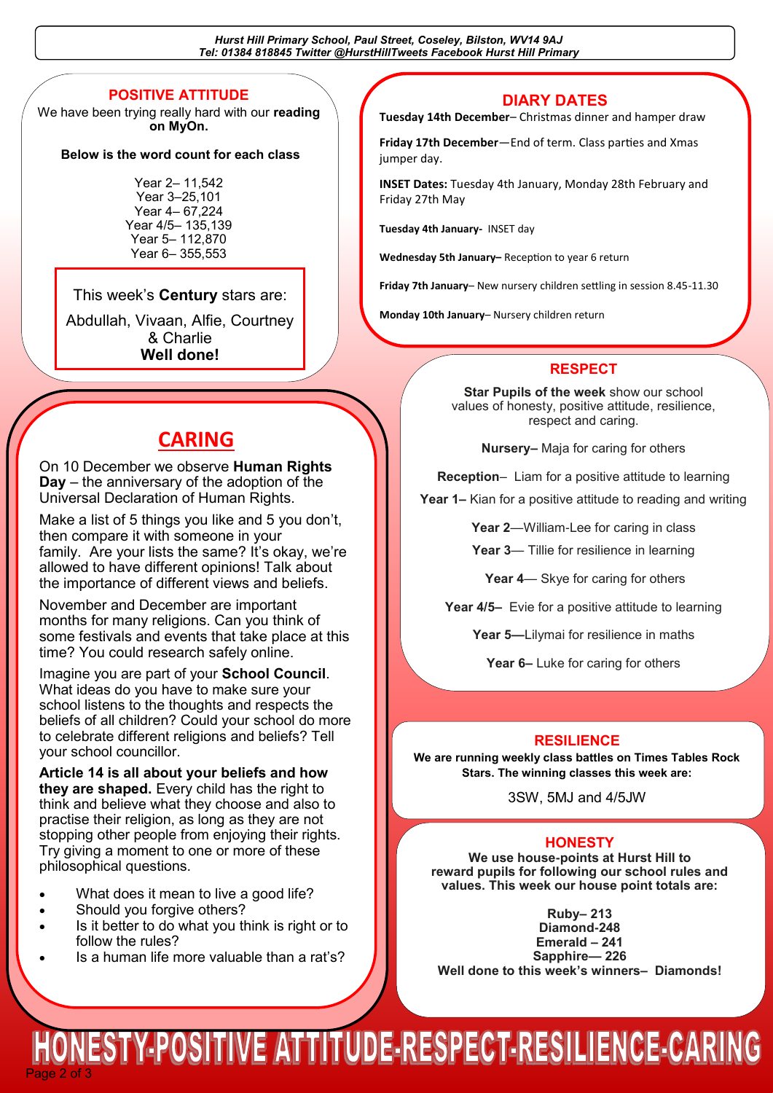*Hurst Hill Primary School, Paul Street, Coseley, Bilston, WV14 9AJ Tel: 01384 818845 Twitter @HurstHillTweets Facebook Hurst Hill Primary*

#### **POSITIVE ATTITUDE**

We have been trying really hard with our **reading on MyOn.** 

#### **Below is the word count for each class**

Year 2– 11,542 Year 3–25,101 Year 4– 67,224 Year 4/5– 135,139 Year 5– 112,870 Year 6– 355,553

#### This week's **Century** stars are:

Abdullah, Vivaan, Alfie, Courtney & Charlie **Well done!** 

#### **DIARY DATES**

**Tuesday 14th December**– Christmas dinner and hamper draw

**Friday 17th December**—End of term. Class parties and Xmas jumper day.

**INSET Dates:** Tuesday 4th January, Monday 28th February and Friday 27th May

**Tuesday 4th January-** INSET day

**Wednesday 5th January–** Reception to year 6 return

**Friday 7th January**– New nursery children settling in session 8.45-11.30

**Monday 10th January**– Nursery children return

#### **RESPECT**

**Star Pupils of the week** show our school values of honesty, positive attitude, resilience, respect and caring.

**Nursery–** Maja for caring for others

**Reception**– Liam for a positive attitude to learning

**Year 1–** Kian for a positive attitude to reading and writing

**Year 2**—William-Lee for caring in class

**Year 3**— Tillie for resilience in learning

**Year 4**— Skye for caring for others

**Year 4/5–** Evie for a positive attitude to learning

**Year 5—**Lilymai for resilience in maths

**Year 6–** Luke for caring for others

#### **RESILIENCE**

**We are running weekly class battles on Times Tables Rock Stars. The winning classes this week are:**

3SW, 5MJ and 4/5JW

#### **HONESTY**

**We use house-points at Hurst Hill to reward pupils for following our school rules and values. This week our house point totals are:**

**Ruby– 213 Diamond-248 Emerald – 241 Sapphire— 226 Well done to this week's winners– Diamonds!**

### **CARING**

On 10 December we observe **Human Rights Day** – the anniversary of the adoption of the Universal Declaration of Human Rights.

Make a list of 5 things you like and 5 you don't. then compare it with someone in your family. Are your lists the same? It's okay, we're allowed to have different opinions! Talk about the importance of different views and beliefs.

November and December are important months for many religions. Can you think of some festivals and events that take place at this time? You could research safely online.

Imagine you are part of your **School Council**. What ideas do you have to make sure your school listens to the thoughts and respects the beliefs of all children? Could your school do more to celebrate different religions and beliefs? Tell your school councillor.

**Article 14 is all about your beliefs and how they are shaped.** Every child has the right to think and believe what they choose and also to practise their religion, as long as they are not stopping other people from enjoying their rights. Try giving a moment to one or more of these philosophical questions.

- What does it mean to live a good life?
- Should you forgive others?
- Is it better to do what you think is right or to follow the rules?
- Is a human life more valuable than a rat's?

ESTY-POSITIVE ATTITUDE-RESPECT-RESILIENCE-CARING Page 2 of 3